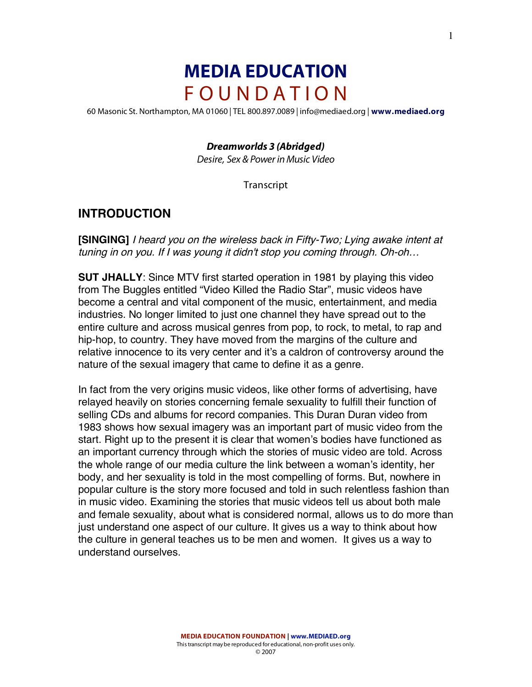# **MEDIA EDUCATION** F O U N D A T I O N

60 Masonic St. Northampton, MA 01060 | TEL 800.897.0089 | info@mediaed.org | **www.mediaed.org**

#### *Dreamworlds 3 (Abridged)*

Desire, Sex & Power in Music Video

Transcript

#### **INTRODUCTION**

**[SINGING]** I heard you on the wireless back in Fifty-Two; Lying awake intent at tuning in on you. If I was young it didn't stop you coming through. Oh-oh…

**SUT JHALLY**: Since MTV first started operation in 1981 by playing this video from The Buggles entitled "Video Killed the Radio Star", music videos have become a central and vital component of the music, entertainment, and media industries. No longer limited to just one channel they have spread out to the entire culture and across musical genres from pop, to rock, to metal, to rap and hip-hop, to country. They have moved from the margins of the culture and relative innocence to its very center and it's a caldron of controversy around the nature of the sexual imagery that came to define it as a genre.

In fact from the very origins music videos, like other forms of advertising, have relayed heavily on stories concerning female sexuality to fulfill their function of selling CDs and albums for record companies. This Duran Duran video from 1983 shows how sexual imagery was an important part of music video from the start. Right up to the present it is clear that women's bodies have functioned as an important currency through which the stories of music video are told. Across the whole range of our media culture the link between a woman's identity, her body, and her sexuality is told in the most compelling of forms. But, nowhere in popular culture is the story more focused and told in such relentless fashion than in music video. Examining the stories that music videos tell us about both male and female sexuality, about what is considered normal, allows us to do more than just understand one aspect of our culture. It gives us a way to think about how the culture in general teaches us to be men and women. It gives us a way to understand ourselves.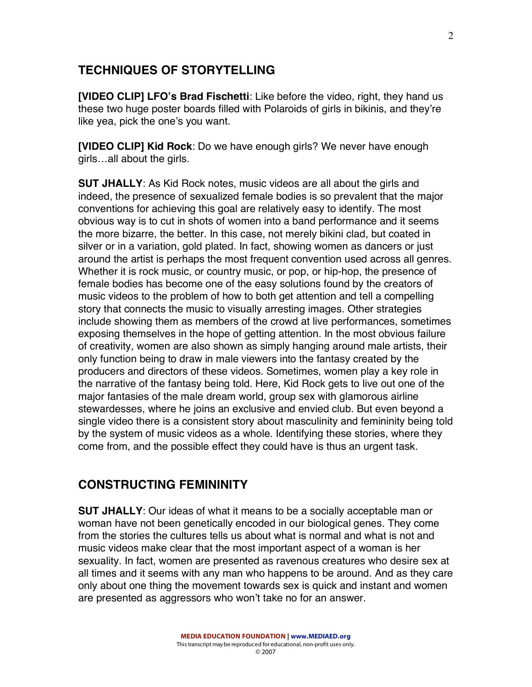## **TECHNIQUES OF STORYTELLING**

**[VIDEO CLIP] LFO's Brad Fischetti**: Like before the video, right, they hand us these two huge poster boards filled with Polaroids of girls in bikinis, and they're like yea, pick the one's you want.

**[VIDEO CLIP] Kid Rock**: Do we have enough girls? We never have enough girls…all about the girls.

**SUT JHALLY**: As Kid Rock notes, music videos are all about the girls and indeed, the presence of sexualized female bodies is so prevalent that the major conventions for achieving this goal are relatively easy to identify. The most obvious way is to cut in shots of women into a band performance and it seems the more bizarre, the better. In this case, not merely bikini clad, but coated in silver or in a variation, gold plated. In fact, showing women as dancers or just around the artist is perhaps the most frequent convention used across all genres. Whether it is rock music, or country music, or pop, or hip-hop, the presence of female bodies has become one of the easy solutions found by the creators of music videos to the problem of how to both get attention and tell a compelling story that connects the music to visually arresting images. Other strategies include showing them as members of the crowd at live performances, sometimes exposing themselves in the hope of getting attention. In the most obvious failure of creativity, women are also shown as simply hanging around male artists, their only function being to draw in male viewers into the fantasy created by the producers and directors of these videos. Sometimes, women play a key role in the narrative of the fantasy being told. Here, Kid Rock gets to live out one of the major fantasies of the male dream world, group sex with glamorous airline stewardesses, where he joins an exclusive and envied club. But even beyond a single video there is a consistent story about masculinity and femininity being told by the system of music videos as a whole. Identifying these stories, where they come from, and the possible effect they could have is thus an urgent task.

#### **CONSTRUCTING FEMININITY**

**SUT JHALLY**: Our ideas of what it means to be a socially acceptable man or woman have not been genetically encoded in our biological genes. They come from the stories the cultures tells us about what is normal and what is not and music videos make clear that the most important aspect of a woman is her sexuality. In fact, women are presented as ravenous creatures who desire sex at all times and it seems with any man who happens to be around. And as they care only about one thing the movement towards sex is quick and instant and women are presented as aggressors who won't take no for an answer.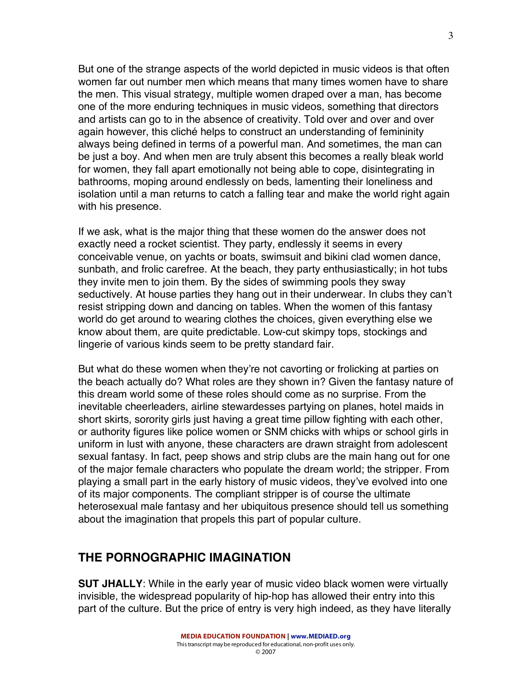But one of the strange aspects of the world depicted in music videos is that often women far out number men which means that many times women have to share the men. This visual strategy, multiple women draped over a man, has become one of the more enduring techniques in music videos, something that directors and artists can go to in the absence of creativity. Told over and over and over again however, this cliché helps to construct an understanding of femininity always being defined in terms of a powerful man. And sometimes, the man can be just a boy. And when men are truly absent this becomes a really bleak world for women, they fall apart emotionally not being able to cope, disintegrating in bathrooms, moping around endlessly on beds, lamenting their loneliness and isolation until a man returns to catch a falling tear and make the world right again with his presence.

If we ask, what is the major thing that these women do the answer does not exactly need a rocket scientist. They party, endlessly it seems in every conceivable venue, on yachts or boats, swimsuit and bikini clad women dance, sunbath, and frolic carefree. At the beach, they party enthusiastically; in hot tubs they invite men to join them. By the sides of swimming pools they sway seductively. At house parties they hang out in their underwear. In clubs they can't resist stripping down and dancing on tables. When the women of this fantasy world do get around to wearing clothes the choices, given everything else we know about them, are quite predictable. Low-cut skimpy tops, stockings and lingerie of various kinds seem to be pretty standard fair.

But what do these women when they're not cavorting or frolicking at parties on the beach actually do? What roles are they shown in? Given the fantasy nature of this dream world some of these roles should come as no surprise. From the inevitable cheerleaders, airline stewardesses partying on planes, hotel maids in short skirts, sorority girls just having a great time pillow fighting with each other, or authority figures like police women or SNM chicks with whips or school girls in uniform in lust with anyone, these characters are drawn straight from adolescent sexual fantasy. In fact, peep shows and strip clubs are the main hang out for one of the major female characters who populate the dream world; the stripper. From playing a small part in the early history of music videos, they've evolved into one of its major components. The compliant stripper is of course the ultimate heterosexual male fantasy and her ubiquitous presence should tell us something about the imagination that propels this part of popular culture.

## **THE PORNOGRAPHIC IMAGINATION**

**SUT JHALLY**: While in the early year of music video black women were virtually invisible, the widespread popularity of hip-hop has allowed their entry into this part of the culture. But the price of entry is very high indeed, as they have literally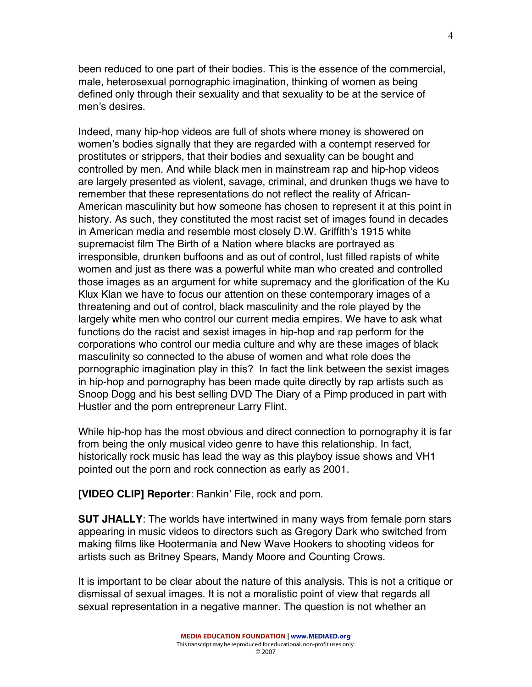been reduced to one part of their bodies. This is the essence of the commercial, male, heterosexual pornographic imagination, thinking of women as being defined only through their sexuality and that sexuality to be at the service of men's desires.

Indeed, many hip-hop videos are full of shots where money is showered on women's bodies signally that they are regarded with a contempt reserved for prostitutes or strippers, that their bodies and sexuality can be bought and controlled by men. And while black men in mainstream rap and hip-hop videos are largely presented as violent, savage, criminal, and drunken thugs we have to remember that these representations do not reflect the reality of African-American masculinity but how someone has chosen to represent it at this point in history. As such, they constituted the most racist set of images found in decades in American media and resemble most closely D.W. Griffith's 1915 white supremacist film The Birth of a Nation where blacks are portrayed as irresponsible, drunken buffoons and as out of control, lust filled rapists of white women and just as there was a powerful white man who created and controlled those images as an argument for white supremacy and the glorification of the Ku Klux Klan we have to focus our attention on these contemporary images of a threatening and out of control, black masculinity and the role played by the largely white men who control our current media empires. We have to ask what functions do the racist and sexist images in hip-hop and rap perform for the corporations who control our media culture and why are these images of black masculinity so connected to the abuse of women and what role does the pornographic imagination play in this? In fact the link between the sexist images in hip-hop and pornography has been made quite directly by rap artists such as Snoop Dogg and his best selling DVD The Diary of a Pimp produced in part with Hustler and the porn entrepreneur Larry Flint.

While hip-hop has the most obvious and direct connection to pornography it is far from being the only musical video genre to have this relationship. In fact, historically rock music has lead the way as this playboy issue shows and VH1 pointed out the porn and rock connection as early as 2001.

**[VIDEO CLIP] Reporter**: Rankin' File, rock and porn.

**SUT JHALLY**: The worlds have intertwined in many ways from female porn stars appearing in music videos to directors such as Gregory Dark who switched from making films like Hootermania and New Wave Hookers to shooting videos for artists such as Britney Spears, Mandy Moore and Counting Crows.

It is important to be clear about the nature of this analysis. This is not a critique or dismissal of sexual images. It is not a moralistic point of view that regards all sexual representation in a negative manner. The question is not whether an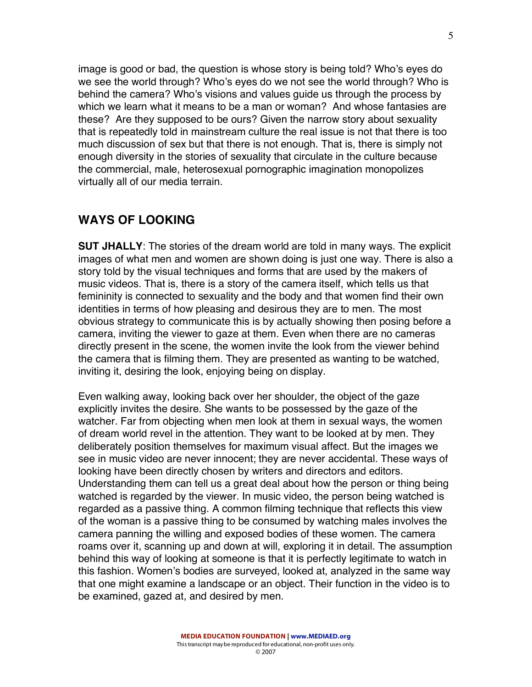image is good or bad, the question is whose story is being told? Who's eyes do we see the world through? Who's eyes do we not see the world through? Who is behind the camera? Who's visions and values guide us through the process by which we learn what it means to be a man or woman? And whose fantasies are these? Are they supposed to be ours? Given the narrow story about sexuality that is repeatedly told in mainstream culture the real issue is not that there is too much discussion of sex but that there is not enough. That is, there is simply not enough diversity in the stories of sexuality that circulate in the culture because the commercial, male, heterosexual pornographic imagination monopolizes virtually all of our media terrain.

#### **WAYS OF LOOKING**

**SUT JHALLY**: The stories of the dream world are told in many ways. The explicit images of what men and women are shown doing is just one way. There is also a story told by the visual techniques and forms that are used by the makers of music videos. That is, there is a story of the camera itself, which tells us that femininity is connected to sexuality and the body and that women find their own identities in terms of how pleasing and desirous they are to men. The most obvious strategy to communicate this is by actually showing then posing before a camera, inviting the viewer to gaze at them. Even when there are no cameras directly present in the scene, the women invite the look from the viewer behind the camera that is filming them. They are presented as wanting to be watched, inviting it, desiring the look, enjoying being on display.

Even walking away, looking back over her shoulder, the object of the gaze explicitly invites the desire. She wants to be possessed by the gaze of the watcher. Far from objecting when men look at them in sexual ways, the women of dream world revel in the attention. They want to be looked at by men. They deliberately position themselves for maximum visual affect. But the images we see in music video are never innocent; they are never accidental. These ways of looking have been directly chosen by writers and directors and editors. Understanding them can tell us a great deal about how the person or thing being watched is regarded by the viewer. In music video, the person being watched is regarded as a passive thing. A common filming technique that reflects this view of the woman is a passive thing to be consumed by watching males involves the camera panning the willing and exposed bodies of these women. The camera roams over it, scanning up and down at will, exploring it in detail. The assumption behind this way of looking at someone is that it is perfectly legitimate to watch in this fashion. Women's bodies are surveyed, looked at, analyzed in the same way that one might examine a landscape or an object. Their function in the video is to be examined, gazed at, and desired by men.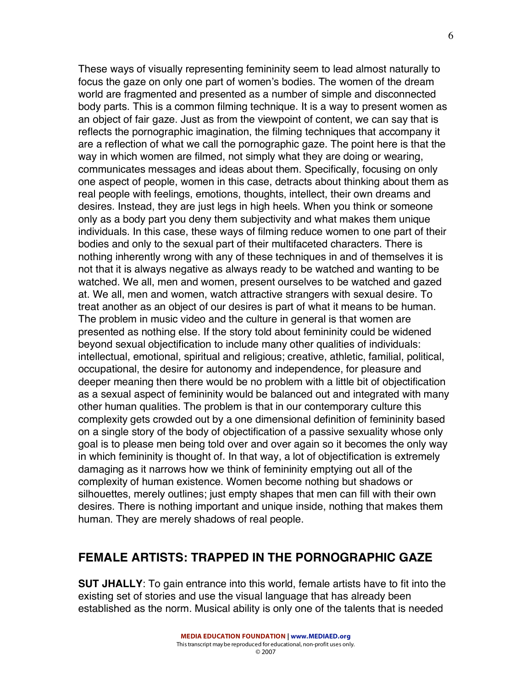These ways of visually representing femininity seem to lead almost naturally to focus the gaze on only one part of women's bodies. The women of the dream world are fragmented and presented as a number of simple and disconnected body parts. This is a common filming technique. It is a way to present women as an object of fair gaze. Just as from the viewpoint of content, we can say that is reflects the pornographic imagination, the filming techniques that accompany it are a reflection of what we call the pornographic gaze. The point here is that the way in which women are filmed, not simply what they are doing or wearing, communicates messages and ideas about them. Specifically, focusing on only one aspect of people, women in this case, detracts about thinking about them as real people with feelings, emotions, thoughts, intellect, their own dreams and desires. Instead, they are just legs in high heels. When you think or someone only as a body part you deny them subjectivity and what makes them unique individuals. In this case, these ways of filming reduce women to one part of their bodies and only to the sexual part of their multifaceted characters. There is nothing inherently wrong with any of these techniques in and of themselves it is not that it is always negative as always ready to be watched and wanting to be watched. We all, men and women, present ourselves to be watched and gazed at. We all, men and women, watch attractive strangers with sexual desire. To treat another as an object of our desires is part of what it means to be human. The problem in music video and the culture in general is that women are presented as nothing else. If the story told about femininity could be widened beyond sexual objectification to include many other qualities of individuals: intellectual, emotional, spiritual and religious; creative, athletic, familial, political, occupational, the desire for autonomy and independence, for pleasure and deeper meaning then there would be no problem with a little bit of objectification as a sexual aspect of femininity would be balanced out and integrated with many other human qualities. The problem is that in our contemporary culture this complexity gets crowded out by a one dimensional definition of femininity based on a single story of the body of objectification of a passive sexuality whose only goal is to please men being told over and over again so it becomes the only way in which femininity is thought of. In that way, a lot of objectification is extremely damaging as it narrows how we think of femininity emptying out all of the complexity of human existence. Women become nothing but shadows or silhouettes, merely outlines; just empty shapes that men can fill with their own desires. There is nothing important and unique inside, nothing that makes them human. They are merely shadows of real people.

## **FEMALE ARTISTS: TRAPPED IN THE PORNOGRAPHIC GAZE**

**SUT JHALLY**: To gain entrance into this world, female artists have to fit into the existing set of stories and use the visual language that has already been established as the norm. Musical ability is only one of the talents that is needed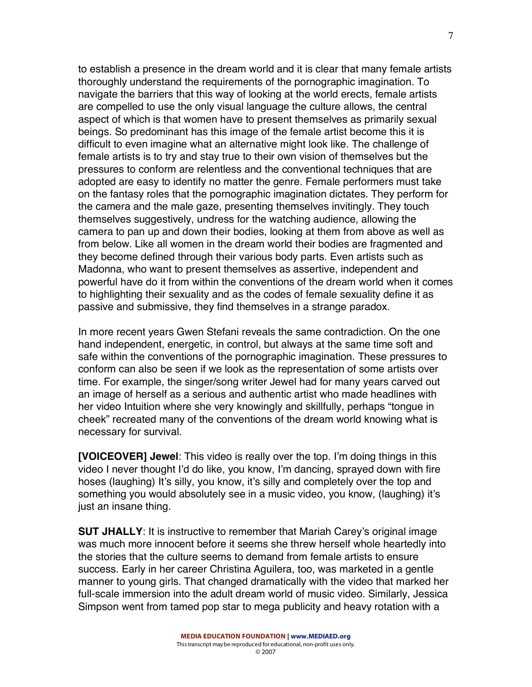to establish a presence in the dream world and it is clear that many female artists thoroughly understand the requirements of the pornographic imagination. To navigate the barriers that this way of looking at the world erects, female artists are compelled to use the only visual language the culture allows, the central aspect of which is that women have to present themselves as primarily sexual beings. So predominant has this image of the female artist become this it is difficult to even imagine what an alternative might look like. The challenge of female artists is to try and stay true to their own vision of themselves but the pressures to conform are relentless and the conventional techniques that are adopted are easy to identify no matter the genre. Female performers must take on the fantasy roles that the pornographic imagination dictates. They perform for the camera and the male gaze, presenting themselves invitingly. They touch themselves suggestively, undress for the watching audience, allowing the camera to pan up and down their bodies, looking at them from above as well as from below. Like all women in the dream world their bodies are fragmented and they become defined through their various body parts. Even artists such as Madonna, who want to present themselves as assertive, independent and powerful have do it from within the conventions of the dream world when it comes to highlighting their sexuality and as the codes of female sexuality define it as passive and submissive, they find themselves in a strange paradox.

In more recent years Gwen Stefani reveals the same contradiction. On the one hand independent, energetic, in control, but always at the same time soft and safe within the conventions of the pornographic imagination. These pressures to conform can also be seen if we look as the representation of some artists over time. For example, the singer/song writer Jewel had for many years carved out an image of herself as a serious and authentic artist who made headlines with her video Intuition where she very knowingly and skillfully, perhaps "tongue in cheek" recreated many of the conventions of the dream world knowing what is necessary for survival.

**[VOICEOVER] Jewel**: This video is really over the top. I'm doing things in this video I never thought I'd do like, you know, I'm dancing, sprayed down with fire hoses (laughing) It's silly, you know, it's silly and completely over the top and something you would absolutely see in a music video, you know, (laughing) it's just an insane thing.

**SUT JHALLY**: It is instructive to remember that Mariah Carey's original image was much more innocent before it seems she threw herself whole heartedly into the stories that the culture seems to demand from female artists to ensure success. Early in her career Christina Aguilera, too, was marketed in a gentle manner to young girls. That changed dramatically with the video that marked her full-scale immersion into the adult dream world of music video. Similarly, Jessica Simpson went from tamed pop star to mega publicity and heavy rotation with a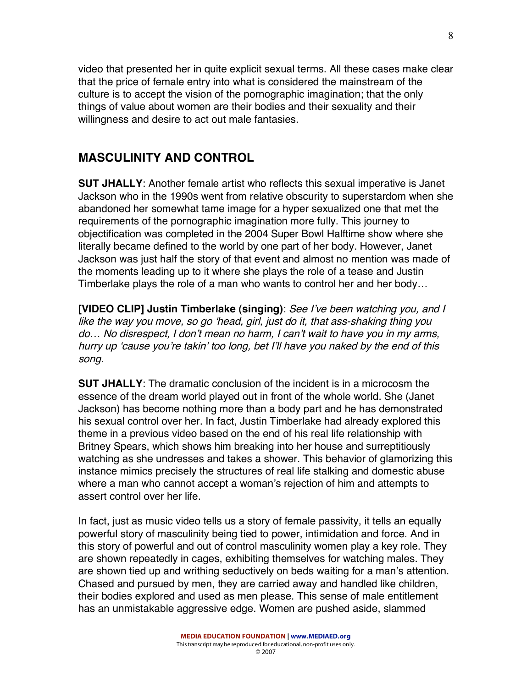video that presented her in quite explicit sexual terms. All these cases make clear that the price of female entry into what is considered the mainstream of the culture is to accept the vision of the pornographic imagination; that the only things of value about women are their bodies and their sexuality and their willingness and desire to act out male fantasies.

#### **MASCULINITY AND CONTROL**

**SUT JHALLY**: Another female artist who reflects this sexual imperative is Janet Jackson who in the 1990s went from relative obscurity to superstardom when she abandoned her somewhat tame image for a hyper sexualized one that met the requirements of the pornographic imagination more fully. This journey to objectification was completed in the 2004 Super Bowl Halftime show where she literally became defined to the world by one part of her body. However, Janet Jackson was just half the story of that event and almost no mention was made of the moments leading up to it where she plays the role of a tease and Justin Timberlake plays the role of a man who wants to control her and her body…

**[VIDEO CLIP] Justin Timberlake (singing)**: See I've been watching you, and I like the way you move, so go 'head, girl, just do it, that ass-shaking thing you do… No disrespect, I don't mean no harm, I can't wait to have you in my arms, hurry up 'cause you're takin' too long, bet I'll have you naked by the end of this song.

**SUT JHALLY**: The dramatic conclusion of the incident is in a microcosm the essence of the dream world played out in front of the whole world. She (Janet Jackson) has become nothing more than a body part and he has demonstrated his sexual control over her. In fact, Justin Timberlake had already explored this theme in a previous video based on the end of his real life relationship with Britney Spears, which shows him breaking into her house and surreptitiously watching as she undresses and takes a shower. This behavior of glamorizing this instance mimics precisely the structures of real life stalking and domestic abuse where a man who cannot accept a woman's rejection of him and attempts to assert control over her life.

In fact, just as music video tells us a story of female passivity, it tells an equally powerful story of masculinity being tied to power, intimidation and force. And in this story of powerful and out of control masculinity women play a key role. They are shown repeatedly in cages, exhibiting themselves for watching males. They are shown tied up and writhing seductively on beds waiting for a man's attention. Chased and pursued by men, they are carried away and handled like children, their bodies explored and used as men please. This sense of male entitlement has an unmistakable aggressive edge. Women are pushed aside, slammed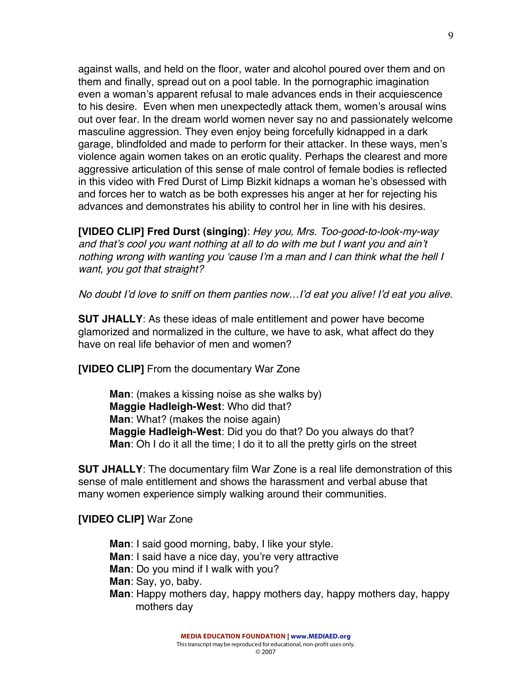against walls, and held on the floor, water and alcohol poured over them and on them and finally, spread out on a pool table. In the pornographic imagination even a woman's apparent refusal to male advances ends in their acquiescence to his desire. Even when men unexpectedly attack them, women's arousal wins out over fear. In the dream world women never say no and passionately welcome masculine aggression. They even enjoy being forcefully kidnapped in a dark garage, blindfolded and made to perform for their attacker. In these ways, men's violence again women takes on an erotic quality. Perhaps the clearest and more aggressive articulation of this sense of male control of female bodies is reflected in this video with Fred Durst of Limp Bizkit kidnaps a woman he's obsessed with and forces her to watch as be both expresses his anger at her for rejecting his advances and demonstrates his ability to control her in line with his desires.

**[VIDEO CLIP] Fred Durst (singing)**: Hey you, Mrs. Too-good-to-look-my-way and that's cool you want nothing at all to do with me but I want you and ain't nothing wrong with wanting you 'cause I'<sup>m</sup> <sup>a</sup> man and I can think what the hell I want, you got that straight?

No doubt I'd love to sniff on them panties now…I'd eat you alive! I'd eat you alive.

**SUT JHALLY**: As these ideas of male entitlement and power have become glamorized and normalized in the culture, we have to ask, what affect do they have on real life behavior of men and women?

**[VIDEO CLIP]** From the documentary War Zone

**Man**: (makes a kissing noise as she walks by) **Maggie Hadleigh-West**: Who did that? **Man**: What? (makes the noise again) **Maggie Hadleigh-West**: Did you do that? Do you always do that? **Man**: Oh I do it all the time; I do it to all the pretty girls on the street

**SUT JHALLY**: The documentary film War Zone is a real life demonstration of this sense of male entitlement and shows the harassment and verbal abuse that many women experience simply walking around their communities.

**[VIDEO CLIP]** War Zone

- **Man**: I said good morning, baby, I like your style.
- **Man**: I said have a nice day, you're very attractive
- **Man**: Do you mind if I walk with you?
- **Man**: Say, yo, baby.
- **Man**: Happy mothers day, happy mothers day, happy mothers day, happy mothers day